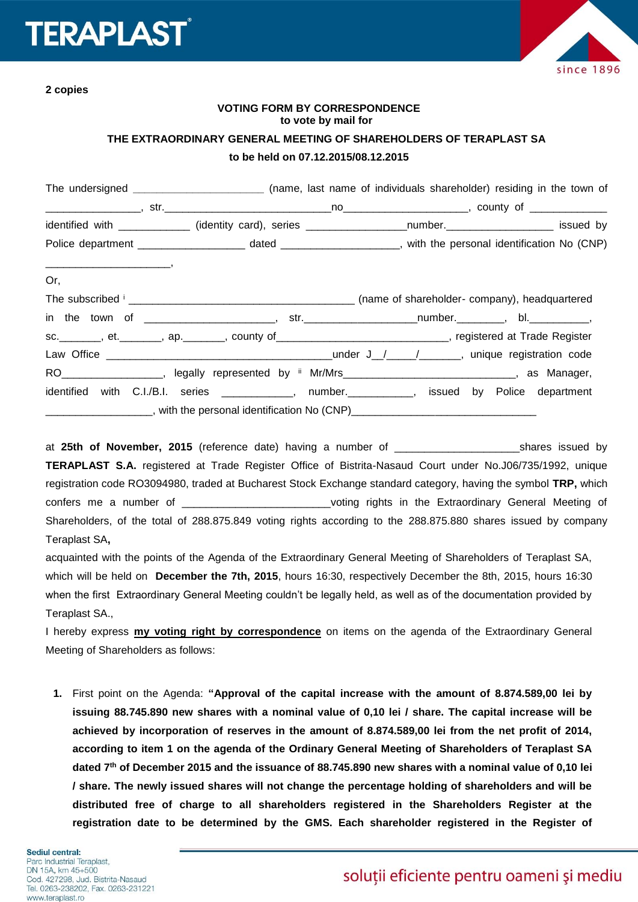# **TERAPLAS**



**2 copies**

# **VOTING FORM BY CORRESPONDENCE to vote by mail for**

## **THE EXTRAORDINARY GENERAL MEETING OF SHAREHOLDERS OF TERAPLAST SA**

#### **to be held on 07.12.2015/08.12.2015**

|                                                                                                                                                                                                                                                                                                                                                                                                                                                                                                            | The undersigned _____________________________ (name, last name of individuals shareholder) residing in the town of                                                                                     |  |  |  |
|------------------------------------------------------------------------------------------------------------------------------------------------------------------------------------------------------------------------------------------------------------------------------------------------------------------------------------------------------------------------------------------------------------------------------------------------------------------------------------------------------------|--------------------------------------------------------------------------------------------------------------------------------------------------------------------------------------------------------|--|--|--|
|                                                                                                                                                                                                                                                                                                                                                                                                                                                                                                            |                                                                                                                                                                                                        |  |  |  |
|                                                                                                                                                                                                                                                                                                                                                                                                                                                                                                            | identified with _____________ (identity card), series ___________________number.____________________ issued by                                                                                         |  |  |  |
|                                                                                                                                                                                                                                                                                                                                                                                                                                                                                                            |                                                                                                                                                                                                        |  |  |  |
| $\overbrace{\hspace{25mm}}^{ \hspace{25mm} \bullet \hspace{25mm} \bullet \hspace{25mm} \bullet \hspace{25mm} \bullet \hspace{25mm} \bullet \hspace{25mm} \bullet \hspace{25mm} \bullet \hspace{25mm} \bullet \hspace{25mm} \bullet \hspace{25mm} \bullet \hspace{25mm} \bullet \hspace{25mm} \bullet \hspace{25mm} \bullet \hspace{25mm} \bullet \hspace{25mm} \bullet \hspace{25mm} \bullet \hspace{25mm} \bullet \hspace{25mm} \bullet \hspace{25mm} \bullet \hspace{25mm} \bullet \hspace{25mm}$<br>Or, |                                                                                                                                                                                                        |  |  |  |
|                                                                                                                                                                                                                                                                                                                                                                                                                                                                                                            |                                                                                                                                                                                                        |  |  |  |
|                                                                                                                                                                                                                                                                                                                                                                                                                                                                                                            | in the town of _______________________, str._____________________number._________, bl.____________,                                                                                                    |  |  |  |
|                                                                                                                                                                                                                                                                                                                                                                                                                                                                                                            | sc. _______, et. _______, ap. _______, county of _____________________________, registered at Trade Register                                                                                           |  |  |  |
|                                                                                                                                                                                                                                                                                                                                                                                                                                                                                                            |                                                                                                                                                                                                        |  |  |  |
|                                                                                                                                                                                                                                                                                                                                                                                                                                                                                                            | RO__________________, legally represented by ii Mr/Mrs____________________________, as Manager,                                                                                                        |  |  |  |
|                                                                                                                                                                                                                                                                                                                                                                                                                                                                                                            | identified with C.I./B.I. series ____________, number.___________, issued by Police department<br>______________________, with the personal identification No (CNP)___________________________________ |  |  |  |

at **25th of November, 2015** (reference date) having a number of \_\_\_\_\_\_\_\_\_\_\_\_\_\_\_\_\_\_\_\_\_shares issued by **TERAPLAST S.A.** registered at Trade Register Office of Bistrita-Nasaud Court under No.J06/735/1992, unique registration code RO3094980, traded at Bucharest Stock Exchange standard category, having the symbol **TRP,** which confers me a number of the state of the state of the Extraordinary General Meeting of Shareholders, of the total of 288.875.849 voting rights according to the 288.875.880 shares issued by company Teraplast SA**,**

acquainted with the points of the Agenda of the Extraordinary General Meeting of Shareholders of Teraplast SA, which will be held on **December the 7th, 2015**, hours 16:30, respectively December the 8th, 2015, hours 16:30 when the first Extraordinary General Meeting couldn't be legally held, as well as of the documentation provided by Teraplast SA.,

I hereby express **my voting right by correspondence** on items on the agenda of the Extraordinary General Meeting of Shareholders as follows:

**1.** First point on the Agenda: **"Approval of the capital increase with the amount of 8.874.589,00 lei by issuing 88.745.890 new shares with a nominal value of 0,10 lei / share. The capital increase will be achieved by incorporation of reserves in the amount of 8.874.589,00 lei from the net profit of 2014, according to item 1 on the agenda of the Ordinary General Meeting of Shareholders of Teraplast SA dated 7th of December 2015 and the issuance of 88.745.890 new shares with a nominal value of 0,10 lei / share. The newly issued shares will not change the percentage holding of shareholders and will be distributed free of charge to all shareholders registered in the Shareholders Register at the registration date to be determined by the GMS. Each shareholder registered in the Register of**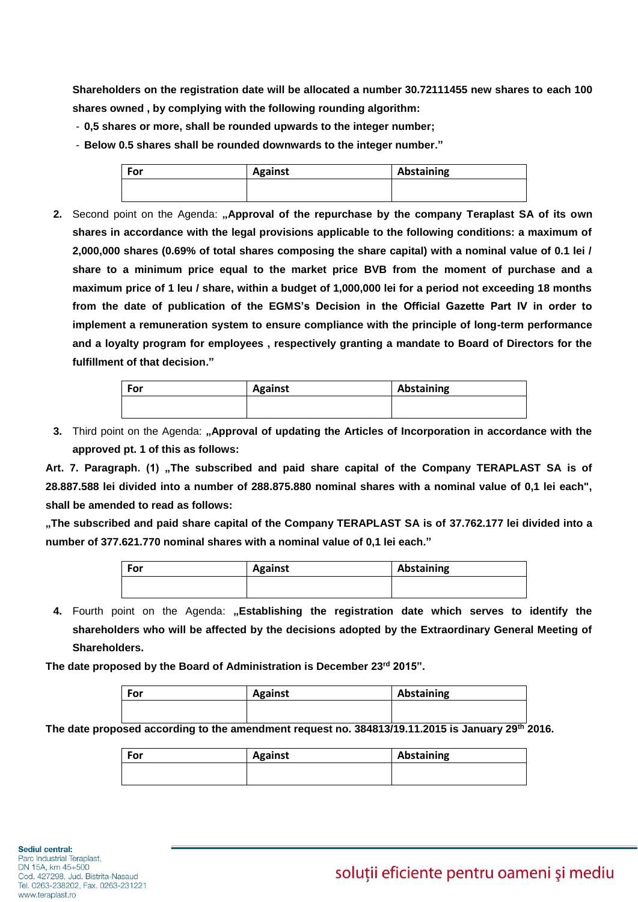**Shareholders on the registration date will be allocated a number 30.72111455 new shares to each 100 shares owned , by complying with the following rounding algorithm:**

- **0,5 shares or more, shall be rounded upwards to the integer number;**
- **Below 0.5 shares shall be rounded downwards to the integer number."**

| For | <b>Against</b> | Abstaining |
|-----|----------------|------------|
|     |                |            |

**2.** Second point on the Agenda: **"Approval of the repurchase by the company Teraplast SA of its own shares in accordance with the legal provisions applicable to the following conditions: a maximum of 2,000,000 shares (0.69% of total shares composing the share capital) with a nominal value of 0.1 lei / share to a minimum price equal to the market price BVB from the moment of purchase and a maximum price of 1 leu / share, within a budget of 1,000,000 lei for a period not exceeding 18 months from the date of publication of the EGMS's Decision in the Official Gazette Part IV in order to implement a remuneration system to ensure compliance with the principle of long-term performance and a loyalty program for employees , respectively granting a mandate to Board of Directors for the fulfillment of that decision."**

| For | <b>Against</b> | Abstaining |
|-----|----------------|------------|
|     |                |            |

**3.** Third point on the Agenda: "Approval of updating the Articles of Incorporation in accordance with the **approved pt. 1 of this as follows:**

Art. 7. Paragraph. (1) "The subscribed and paid share capital of the Company TERAPLAST SA is of **28.887.588 lei divided into a number of 288.875.880 nominal shares with a nominal value of 0,1 lei each", shall be amended to read as follows:** 

**"The subscribed and paid share capital of the Company TERAPLAST SA is of 37.762.177 lei divided into a number of 377.621.770 nominal shares with a nominal value of 0,1 lei each."**

| Abstaining |
|------------|
|            |
|            |

4. Fourth point on the Agenda: "Establishing the registration date which serves to identify the **shareholders who will be affected by the decisions adopted by the Extraordinary General Meeting of Shareholders.** 

**The date proposed by the Board of Administration is December 23 rd 2015".**

| For | <b>Against</b> | Abstaining |
|-----|----------------|------------|
|     |                |            |

**The date proposed according to the amendment request no. 384813/19.11.2015 is January 29th 2016.**

| For | <b>Against</b> | Abstaining |
|-----|----------------|------------|
|     |                |            |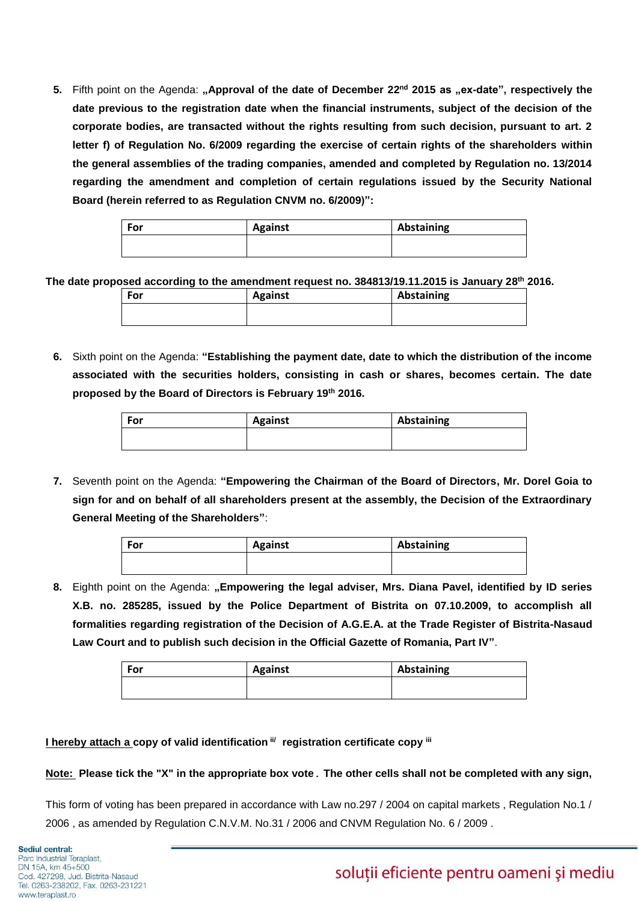**5.** Fifth point on the Agenda: "Approval of the date of December 22<sup>nd</sup> 2015 as "ex-date", respectively the **date previous to the registration date when the financial instruments, subject of the decision of the corporate bodies, are transacted without the rights resulting from such decision, pursuant to art. 2 letter f) of Regulation No. 6/2009 regarding the exercise of certain rights of the shareholders within the general assemblies of the trading companies, amended and completed by Regulation no. 13/2014 regarding the amendment and completion of certain regulations issued by the Security National Board (herein referred to as Regulation CNVM no. 6/2009)":**

| For | <b>Against</b> | Abstaining |
|-----|----------------|------------|
|     |                |            |

**The date proposed according to the amendment request no. 384813/19.11.2015 is January 28 th 2016.**

| For | <b>Against</b> | Abstaining |
|-----|----------------|------------|
|     |                |            |

**6.** Sixth point on the Agenda: **"Establishing the payment date, date to which the distribution of the income associated with the securities holders, consisting in cash or shares, becomes certain. The date proposed by the Board of Directors is February 19th 2016.**

| For | <b>Against</b> | Abstaining |
|-----|----------------|------------|
|     |                |            |

**7.** Seventh point on the Agenda: **"Empowering the Chairman of the Board of Directors, Mr. Dorel Goia to sign for and on behalf of all shareholders present at the assembly, the Decision of the Extraordinary General Meeting of the Shareholders"**:

| <b>Against</b> | Abstaining |
|----------------|------------|
|                |            |
|                |            |

**8.** Eighth point on the Agenda: **"Empowering the legal adviser, Mrs. Diana Pavel, identified by ID series X.B. no. 285285, issued by the Police Department of Bistrita on 07.10.2009, to accomplish all formalities regarding registration of the Decision of A.G.E.A. at the Trade Register of Bistrita-Nasaud Law Court and to publish such decision in the Official Gazette of Romania, Part IV"**.

| For | <b>Against</b> | Abstaining |
|-----|----------------|------------|
|     |                |            |

# **I hereby attach a copy of valid identification ii/ registration certificate copy iii**

### **Note: Please tick the "X" in the appropriate box vote**. **The other cells shall not be completed with any sign,**

This form of voting has been prepared in accordance with Law no.297 / 2004 on capital markets , Regulation No.1 / 2006 , as amended by Regulation C.N.V.M. No.31 / 2006 and CNVM Regulation No. 6 / 2009 .